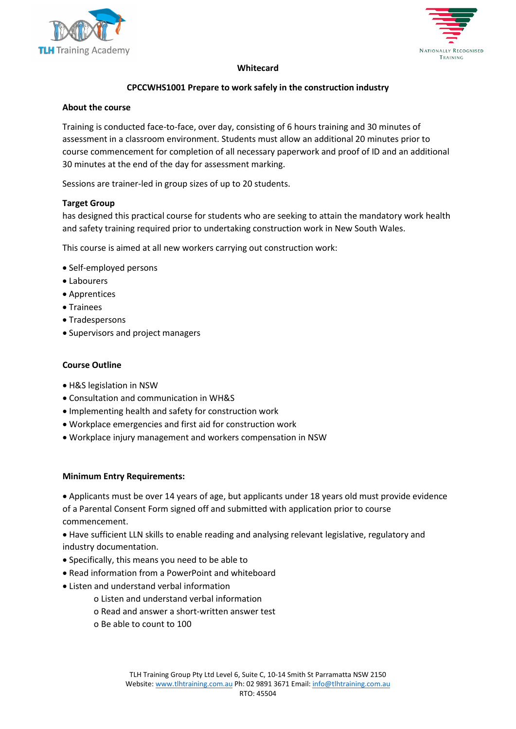



### **Whitecard**

## **CPCCWHS1001 Prepare to work safely in the construction industry**

#### **About the course**

Training is conducted face-to-face, over day, consisting of 6 hours training and 30 minutes of assessment in a classroom environment. Students must allow an additional 20 minutes prior to course commencement for completion of all necessary paperwork and proof of ID and an additional 30 minutes at the end of the day for assessment marking.

Sessions are trainer-led in group sizes of up to 20 students.

### **Target Group**

has designed this practical course for students who are seeking to attain the mandatory work health and safety training required prior to undertaking construction work in New South Wales.

This course is aimed at all new workers carrying out construction work:

- Self-employed persons
- Labourers
- Apprentices
- Trainees
- Tradespersons
- Supervisors and project managers

#### **Course Outline**

- H&S legislation in NSW
- Consultation and communication in WH&S
- Implementing health and safety for construction work
- Workplace emergencies and first aid for construction work
- Workplace injury management and workers compensation in NSW

#### **Minimum Entry Requirements:**

• Applicants must be over 14 years of age, but applicants under 18 years old must provide evidence of a Parental Consent Form signed off and submitted with application prior to course commencement.

• Have sufficient LLN skills to enable reading and analysing relevant legislative, regulatory and industry documentation.

- Specifically, this means you need to be able to
- Read information from a PowerPoint and whiteboard
- Listen and understand verbal information
	- o Listen and understand verbal information
	- o Read and answer a short-written answer test
	- o Be able to count to 100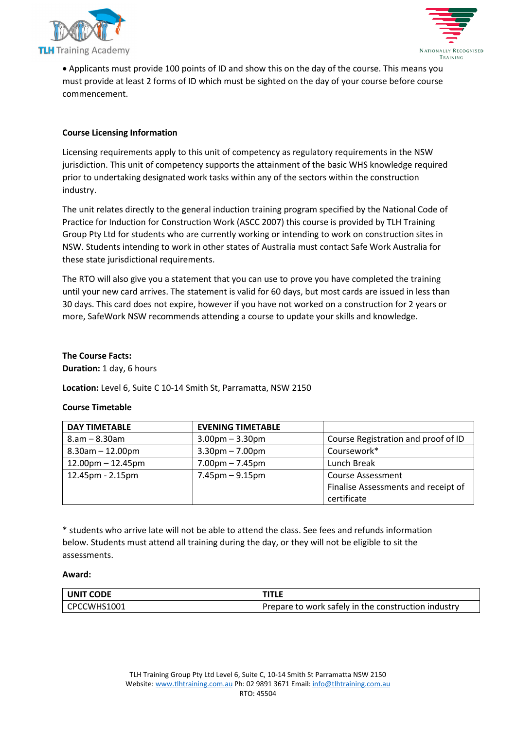



• Applicants must provide 100 points of ID and show this on the day of the course. This means you must provide at least 2 forms of ID which must be sighted on the day of your course before course commencement.

### **Course Licensing Information**

Licensing requirements apply to this unit of competency as regulatory requirements in the NSW jurisdiction. This unit of competency supports the attainment of the basic WHS knowledge required prior to undertaking designated work tasks within any of the sectors within the construction industry.

The unit relates directly to the general induction training program specified by the National Code of Practice for Induction for Construction Work (ASCC 2007) this course is provided by TLH Training Group Pty Ltd for students who are currently working or intending to work on construction sites in NSW. Students intending to work in other states of Australia must contact Safe Work Australia for these state jurisdictional requirements.

The RTO will also give you a statement that you can use to prove you have completed the training until your new card arrives. The statement is valid for 60 days, but most cards are issued in less than 30 days. This card does not expire, however if you have not worked on a construction for 2 years or more, SafeWork NSW recommends attending a course to update your skills and knowledge.

### **The Course Facts:**

**Duration:** 1 day, 6 hours

**Location:** Level 6, Suite C 10-14 Smith St, Parramatta, NSW 2150

### **Course Timetable**

| <b>DAY TIMETABLE</b>    | <b>EVENING TIMETABLE</b>          |                                     |
|-------------------------|-----------------------------------|-------------------------------------|
| $8.am - 8.30am$         | $3.00pm - 3.30pm$                 | Course Registration and proof of ID |
| $8.30$ am $- 12.00$ pm  | $3.30 \text{pm} - 7.00 \text{pm}$ | Coursework*                         |
| $12.00$ pm $- 12.45$ pm | $7.00 \text{pm} - 7.45 \text{pm}$ | Lunch Break                         |
| 12.45pm - 2.15pm        | $7.45 \text{pm} - 9.15 \text{pm}$ | <b>Course Assessment</b>            |
|                         |                                   | Finalise Assessments and receipt of |
|                         |                                   | certificate                         |

\* students who arrive late will not be able to attend the class. See fees and refunds information below. Students must attend all training during the day, or they will not be eligible to sit the assessments.

#### **Award:**

| UNIT CODE     | <b>TITLE</b>                                        |
|---------------|-----------------------------------------------------|
| l CPCCWHS1001 | Prepare to work safely in the construction industry |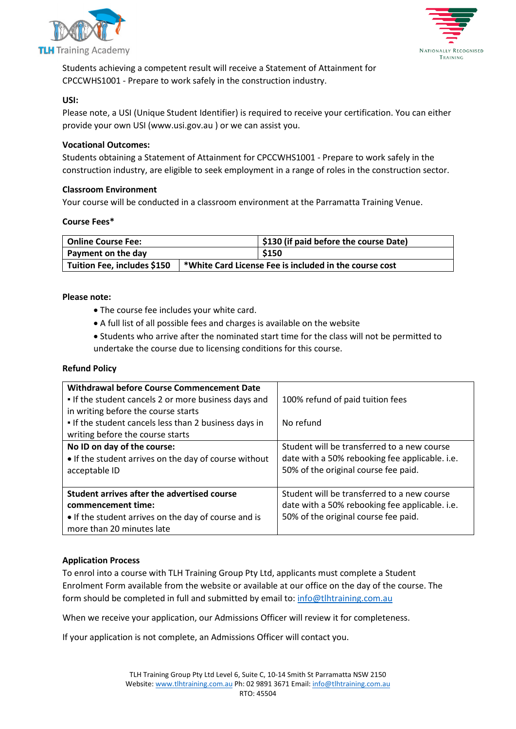



Students achieving a competent result will receive a Statement of Attainment for CPCCWHS1001 - Prepare to work safely in the construction industry.

### **USI:**

Please note, a USI (Unique Student Identifier) is required to receive your certification. You can either provide your own USI (www.usi.gov.au ) or we can assist you.

### **Vocational Outcomes:**

Students obtaining a Statement of Attainment for CPCCWHS1001 - Prepare to work safely in the construction industry, are eligible to seek employment in a range of roles in the construction sector.

### **Classroom Environment**

Your course will be conducted in a classroom environment at the Parramatta Training Venue.

### **Course Fees\***

| Online Course Fee:          |                                                        | \$130 (if paid before the course Date) |
|-----------------------------|--------------------------------------------------------|----------------------------------------|
| Payment on the day          |                                                        | \$150                                  |
| Tuition Fee, includes \$150 | *White Card License Fee is included in the course cost |                                        |

## **Please note:**

- The course fee includes your white card.
- A full list of all possible fees and charges is available on the website
- Students who arrive after the nominated start time for the class will not be permitted to undertake the course due to licensing conditions for this course.

### **Refund Policy**

| <b>Withdrawal before Course Commencement Date</b><br>• If the student cancels 2 or more business days and<br>in writing before the course starts       | 100% refund of paid tuition fees                                                                                                      |
|--------------------------------------------------------------------------------------------------------------------------------------------------------|---------------------------------------------------------------------------------------------------------------------------------------|
| . If the student cancels less than 2 business days in<br>writing before the course starts                                                              | No refund                                                                                                                             |
| No ID on day of the course:<br>• If the student arrives on the day of course without<br>acceptable ID                                                  | Student will be transferred to a new course<br>date with a 50% rebooking fee applicable. i.e.<br>50% of the original course fee paid. |
| Student arrives after the advertised course<br>commencement time:<br>• If the student arrives on the day of course and is<br>more than 20 minutes late | Student will be transferred to a new course<br>date with a 50% rebooking fee applicable. i.e.<br>50% of the original course fee paid. |

# **Application Process**

To enrol into a course with TLH Training Group Pty Ltd, applicants must complete a Student Enrolment Form available from the website or available at our office on the day of the course. The form should be completed in full and submitted by email to: [info@tlhtraining.com.au](mailto:info@tlhtraining.com.au)

When we receive your application, our Admissions Officer will review it for completeness.

If your application is not complete, an Admissions Officer will contact you.